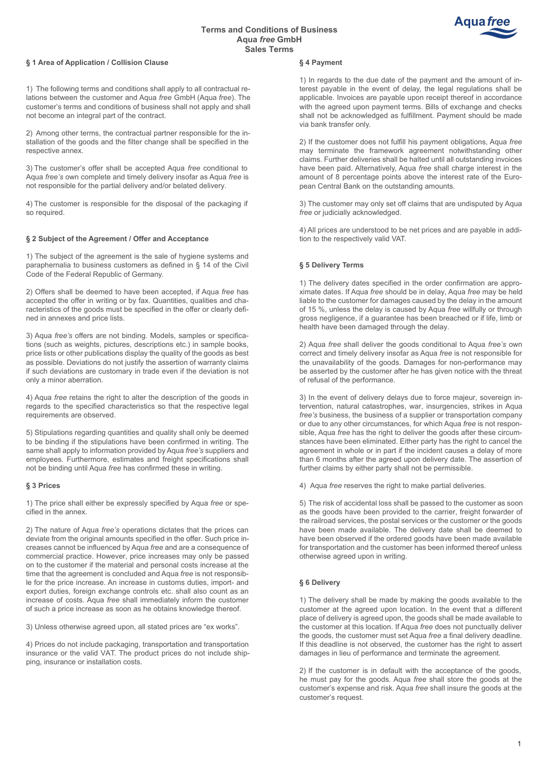# **Terms and Conditions of Business Aqua** *free* **GmbH Sales Terms**



#### **§ 1 Area of Application / Collision Clause**

1) The following terms and conditions shall apply to all contractual relations between the customer and Aqua *free* GmbH (Aqua *free*). The customer's terms and conditions of business shall not apply and shall not become an integral part of the contract.

2) Among other terms, the contractual partner responsible for the installation of the goods and the filter change shall be specified in the respective annex.

3) The customer's offer shall be accepted Aqua *free* conditional to Aqua *free's* own complete and timely delivery insofar as Aqua *free* is not responsible for the partial delivery and/or belated delivery.

4) The customer is responsible for the disposal of the packaging if so required.

# **§ 2 Subject of the Agreement / Offer and Acceptance**

1) The subject of the agreement is the sale of hygiene systems and paraphernalia to business customers as defined in § 14 of the Civil Code of the Federal Republic of Germany.

2) Offers shall be deemed to have been accepted, if Aqua *free* has accepted the offer in writing or by fax. Quantities, qualities and characteristics of the goods must be specified in the offer or clearly defined in annexes and price lists.

3) Aqua *free's* offers are not binding. Models, samples or specifications (such as weights, pictures, descriptions etc.) in sample books, price lists or other publications display the quality of the goods as best as possible. Deviations do not justify the assertion of warranty claims if such deviations are customary in trade even if the deviation is not only a minor aberration.

4) Aqua *free* retains the right to alter the description of the goods in regards to the specified characteristics so that the respective legal requirements are observed.

5) Stipulations regarding quantities and quality shall only be deemed to be binding if the stipulations have been confirmed in writing. The same shall apply to information provided by Aqua *free's* suppliers and employees. Furthermore, estimates and freight specifications shall not be binding until Aqua *free* has confirmed these in writing.

#### **§ 3 Prices**

1) The price shall either be expressly specified by Aqua *free* or specified in the annex.

2) The nature of Aqua *free's* operations dictates that the prices can deviate from the original amounts specified in the offer. Such price increases cannot be influenced by Aqua *free* and are a consequence of commercial practice. However, price increases may only be passed on to the customer if the material and personal costs increase at the time that the agreement is concluded and Aqua *free* is not responsible for the price increase. An increase in customs duties, import- and export duties, foreign exchange controls etc. shall also count as an increase of costs. Aqua *free* shall immediately inform the customer of such a price increase as soon as he obtains knowledge thereof.

3) Unless otherwise agreed upon, all stated prices are "ex works".

4) Prices do not include packaging, transportation and transportation insurance or the valid VAT. The product prices do not include shipping, insurance or installation costs.

#### **§ 4 Payment**

1) In regards to the due date of the payment and the amount of interest payable in the event of delay, the legal regulations shall be applicable. Invoices are payable upon receipt thereof in accordance with the agreed upon payment terms. Bills of exchange and checks shall not be acknowledged as fulfillment. Payment should be made via bank transfer only.

2) If the customer does not fulfill his payment obligations, Aqua *free* may terminate the framework agreement notwithstanding other claims. Further deliveries shall be halted until all outstanding invoices have been paid. Alternatively, Aqua *free* shall charge interest in the amount of 8 percentage points above the interest rate of the European Central Bank on the outstanding amounts.

3) The customer may only set off claims that are undisputed by Aqua *free* or judicially acknowledged.

4) All prices are understood to be net prices and are payable in addition to the respectively valid VAT.

## **§ 5 Delivery Terms**

1) The delivery dates specified in the order confirmation are approximate dates. If Aqua *free* should be in delay, Aqua *free* may be held liable to the customer for damages caused by the delay in the amount of 15 %, unless the delay is caused by Aqua *free* willfully or through gross negligence, if a guarantee has been breached or if life, limb or health have been damaged through the delay.

2) Aqua *free* shall deliver the goods conditional to Aqua *free's* own correct and timely delivery insofar as Aqua *free* is not responsible for the unavailability of the goods. Damages for non-performance may be asserted by the customer after he has given notice with the threat of refusal of the performance.

3) In the event of delivery delays due to force majeur, sovereign intervention, natural catastrophes, war, insurgencies, strikes in Aqua *free's* business, the business of a supplier or transportation company or due to any other circumstances, for which Aqua *free* is not responsible, Aqua *free* has the right to deliver the goods after these circumstances have been eliminated. Either party has the right to cancel the agreement in whole or in part if the incident causes a delay of more than 6 months after the agreed upon delivery date. The assertion of further claims by either party shall not be permissible.

4) Aqua *free* reserves the right to make partial deliveries.

5) The risk of accidental loss shall be passed to the customer as soon as the goods have been provided to the carrier, freight forwarder of the railroad services, the postal services or the customer or the goods have been made available. The delivery date shall be deemed to have been observed if the ordered goods have been made available for transportation and the customer has been informed thereof unless otherwise agreed upon in writing.

## **§ 6 Delivery**

1) The delivery shall be made by making the goods available to the customer at the agreed upon location. In the event that a different place of delivery is agreed upon, the goods shall be made available to the customer at this location. If Aqua *free* does not punctually deliver the goods, the customer must set Aqua *free* a final delivery deadline. If this deadline is not observed, the customer has the right to assert damages in lieu of performance and terminate the agreement.

2) If the customer is in default with the acceptance of the goods, he must pay for the goods. Aqua *free* shall store the goods at the customer's expense and risk. Aqua *free* shall insure the goods at the customer's request.